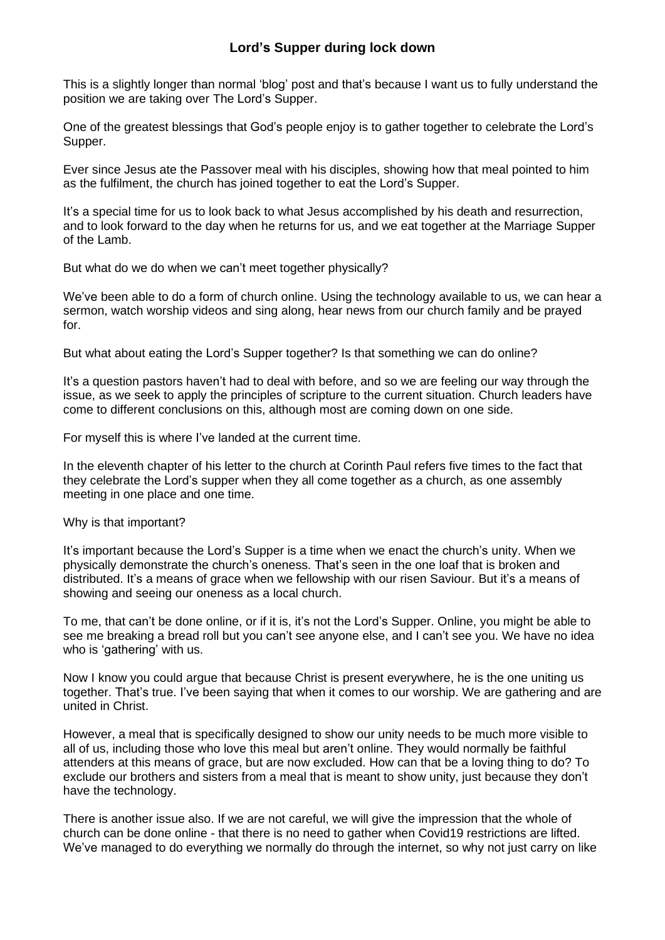## **Lord's Supper during lock down**

This is a slightly longer than normal 'blog' post and that's because I want us to fully understand the position we are taking over The Lord's Supper.

One of the greatest blessings that God's people enjoy is to gather together to celebrate the Lord's Supper.

Ever since Jesus ate the Passover meal with his disciples, showing how that meal pointed to him as the fulfilment, the church has joined together to eat the Lord's Supper.

It's a special time for us to look back to what Jesus accomplished by his death and resurrection, and to look forward to the day when he returns for us, and we eat together at the Marriage Supper of the Lamb.

But what do we do when we can't meet together physically?

We've been able to do a form of church online. Using the technology available to us, we can hear a sermon, watch worship videos and sing along, hear news from our church family and be prayed for.

But what about eating the Lord's Supper together? Is that something we can do online?

It's a question pastors haven't had to deal with before, and so we are feeling our way through the issue, as we seek to apply the principles of scripture to the current situation. Church leaders have come to different conclusions on this, although most are coming down on one side.

For myself this is where I've landed at the current time.

In the eleventh chapter of his letter to the church at Corinth Paul refers five times to the fact that they celebrate the Lord's supper when they all come together as a church, as one assembly meeting in one place and one time.

Why is that important?

It's important because the Lord's Supper is a time when we enact the church's unity. When we physically demonstrate the church's oneness. That's seen in the one loaf that is broken and distributed. It's a means of grace when we fellowship with our risen Saviour. But it's a means of showing and seeing our oneness as a local church.

To me, that can't be done online, or if it is, it's not the Lord's Supper. Online, you might be able to see me breaking a bread roll but you can't see anyone else, and I can't see you. We have no idea who is 'gathering' with us.

Now I know you could argue that because Christ is present everywhere, he is the one uniting us together. That's true. I've been saying that when it comes to our worship. We are gathering and are united in Christ.

However, a meal that is specifically designed to show our unity needs to be much more visible to all of us, including those who love this meal but aren't online. They would normally be faithful attenders at this means of grace, but are now excluded. How can that be a loving thing to do? To exclude our brothers and sisters from a meal that is meant to show unity, just because they don't have the technology.

There is another issue also. If we are not careful, we will give the impression that the whole of church can be done online - that there is no need to gather when Covid19 restrictions are lifted. We've managed to do everything we normally do through the internet, so why not just carry on like